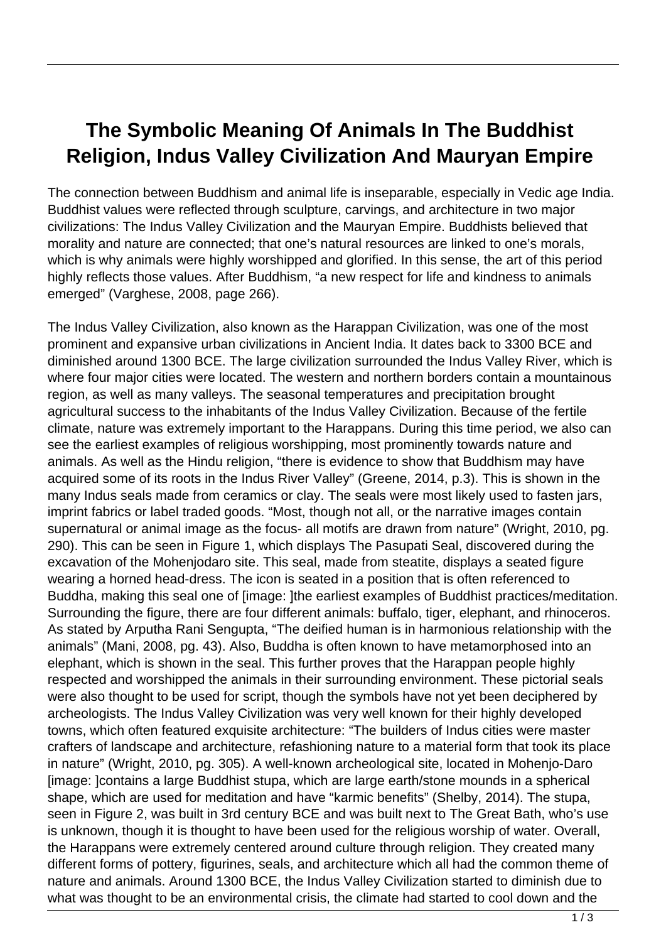## **The Symbolic Meaning Of Animals In The Buddhist Religion, Indus Valley Civilization And Mauryan Empire**

The connection between Buddhism and animal life is inseparable, especially in Vedic age India. Buddhist values were reflected through sculpture, carvings, and architecture in two major civilizations: The Indus Valley Civilization and the Mauryan Empire. Buddhists believed that morality and nature are connected; that one's natural resources are linked to one's morals, which is why animals were highly worshipped and glorified. In this sense, the art of this period highly reflects those values. After Buddhism, "a new respect for life and kindness to animals emerged" (Varghese, 2008, page 266).

The Indus Valley Civilization, also known as the Harappan Civilization, was one of the most prominent and expansive urban civilizations in Ancient India. It dates back to 3300 BCE and diminished around 1300 BCE. The large civilization surrounded the Indus Valley River, which is where four major cities were located. The western and northern borders contain a mountainous region, as well as many valleys. The seasonal temperatures and precipitation brought agricultural success to the inhabitants of the Indus Valley Civilization. Because of the fertile climate, nature was extremely important to the Harappans. During this time period, we also can see the earliest examples of religious worshipping, most prominently towards nature and animals. As well as the Hindu religion, "there is evidence to show that Buddhism may have acquired some of its roots in the Indus River Valley" (Greene, 2014, p.3). This is shown in the many Indus seals made from ceramics or clay. The seals were most likely used to fasten jars, imprint fabrics or label traded goods. "Most, though not all, or the narrative images contain supernatural or animal image as the focus- all motifs are drawn from nature" (Wright, 2010, pg. 290). This can be seen in Figure 1, which displays The Pasupati Seal, discovered during the excavation of the Mohenjodaro site. This seal, made from steatite, displays a seated figure wearing a horned head-dress. The icon is seated in a position that is often referenced to Buddha, making this seal one of [image: ]the earliest examples of Buddhist practices/meditation. Surrounding the figure, there are four different animals: buffalo, tiger, elephant, and rhinoceros. As stated by Arputha Rani Sengupta, "The deified human is in harmonious relationship with the animals" (Mani, 2008, pg. 43). Also, Buddha is often known to have metamorphosed into an elephant, which is shown in the seal. This further proves that the Harappan people highly respected and worshipped the animals in their surrounding environment. These pictorial seals were also thought to be used for script, though the symbols have not yet been deciphered by archeologists. The Indus Valley Civilization was very well known for their highly developed towns, which often featured exquisite architecture: "The builders of Indus cities were master crafters of landscape and architecture, refashioning nature to a material form that took its place in nature" (Wright, 2010, pg. 305). A well-known archeological site, located in Mohenjo-Daro [image: ]contains a large Buddhist stupa, which are large earth/stone mounds in a spherical shape, which are used for meditation and have "karmic benefits" (Shelby, 2014). The stupa, seen in Figure 2, was built in 3rd century BCE and was built next to The Great Bath, who's use is unknown, though it is thought to have been used for the religious worship of water. Overall, the Harappans were extremely centered around culture through religion. They created many different forms of pottery, figurines, seals, and architecture which all had the common theme of nature and animals. Around 1300 BCE, the Indus Valley Civilization started to diminish due to what was thought to be an environmental crisis, the climate had started to cool down and the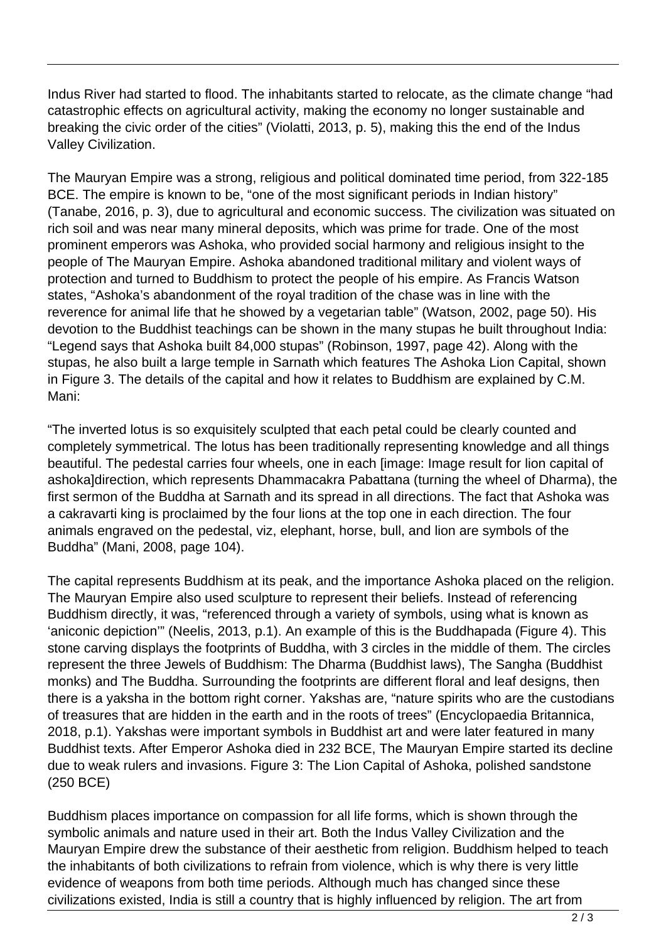Indus River had started to flood. The inhabitants started to relocate, as the climate change "had catastrophic effects on agricultural activity, making the economy no longer sustainable and breaking the civic order of the cities" (Violatti, 2013, p. 5), making this the end of the Indus Valley Civilization.

The Mauryan Empire was a strong, religious and political dominated time period, from 322-185 BCE. The empire is known to be, "one of the most significant periods in Indian history" (Tanabe, 2016, p. 3), due to agricultural and economic success. The civilization was situated on rich soil and was near many mineral deposits, which was prime for trade. One of the most prominent emperors was Ashoka, who provided social harmony and religious insight to the people of The Mauryan Empire. Ashoka abandoned traditional military and violent ways of protection and turned to Buddhism to protect the people of his empire. As Francis Watson states, "Ashoka's abandonment of the royal tradition of the chase was in line with the reverence for animal life that he showed by a vegetarian table" (Watson, 2002, page 50). His devotion to the Buddhist teachings can be shown in the many stupas he built throughout India: "Legend says that Ashoka built 84,000 stupas" (Robinson, 1997, page 42). Along with the stupas, he also built a large temple in Sarnath which features The Ashoka Lion Capital, shown in Figure 3. The details of the capital and how it relates to Buddhism are explained by C.M. Mani:

"The inverted lotus is so exquisitely sculpted that each petal could be clearly counted and completely symmetrical. The lotus has been traditionally representing knowledge and all things beautiful. The pedestal carries four wheels, one in each [image: Image result for lion capital of ashoka]direction, which represents Dhammacakra Pabattana (turning the wheel of Dharma), the first sermon of the Buddha at Sarnath and its spread in all directions. The fact that Ashoka was a cakravarti king is proclaimed by the four lions at the top one in each direction. The four animals engraved on the pedestal, viz, elephant, horse, bull, and lion are symbols of the Buddha" (Mani, 2008, page 104).

The capital represents Buddhism at its peak, and the importance Ashoka placed on the religion. The Mauryan Empire also used sculpture to represent their beliefs. Instead of referencing Buddhism directly, it was, "referenced through a variety of symbols, using what is known as 'aniconic depiction'" (Neelis, 2013, p.1). An example of this is the Buddhapada (Figure 4). This stone carving displays the footprints of Buddha, with 3 circles in the middle of them. The circles represent the three Jewels of Buddhism: The Dharma (Buddhist laws), The Sangha (Buddhist monks) and The Buddha. Surrounding the footprints are different floral and leaf designs, then there is a yaksha in the bottom right corner. Yakshas are, "nature spirits who are the custodians of treasures that are hidden in the earth and in the roots of trees" (Encyclopaedia Britannica, 2018, p.1). Yakshas were important symbols in Buddhist art and were later featured in many Buddhist texts. After Emperor Ashoka died in 232 BCE, The Mauryan Empire started its decline due to weak rulers and invasions. Figure 3: The Lion Capital of Ashoka, polished sandstone (250 BCE)

Buddhism places importance on compassion for all life forms, which is shown through the symbolic animals and nature used in their art. Both the Indus Valley Civilization and the Mauryan Empire drew the substance of their aesthetic from religion. Buddhism helped to teach the inhabitants of both civilizations to refrain from violence, which is why there is very little evidence of weapons from both time periods. Although much has changed since these civilizations existed, India is still a country that is highly influenced by religion. The art from